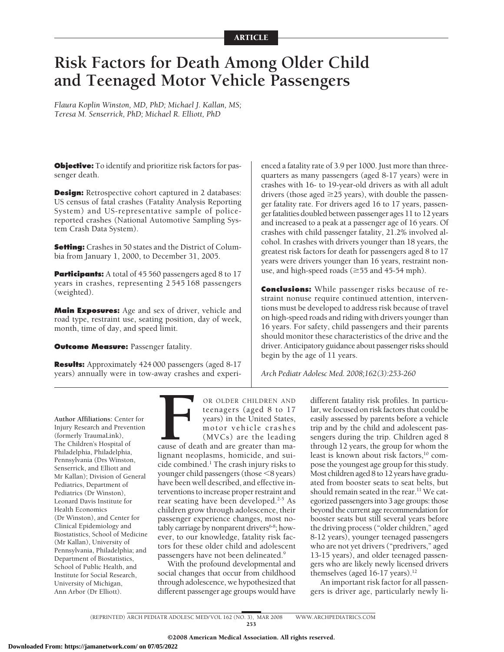# **Risk Factors for Death Among Older Child and Teenaged Motor Vehicle Passengers**

*Flaura Koplin Winston, MD, PhD; Michael J. Kallan, MS; Teresa M. Senserrick, PhD; Michael R. Elliott, PhD*

**Objective:** To identify and prioritize risk factors for passenger death.

**Design:** Retrospective cohort captured in 2 databases: US census of fatal crashes (Fatality Analysis Reporting System) and US-representative sample of policereported crashes (National Automotive Sampling System Crash Data System).

**Setting:** Crashes in 50 states and the District of Columbia from January 1, 2000, to December 31, 2005.

**Participants:** A total of 45 560 passengers aged 8 to 17 years in crashes, representing 2 545 168 passengers (weighted).

**Main Exposures:** Age and sex of driver, vehicle and road type, restraint use, seating position, day of week, month, time of day, and speed limit.

**Outcome Measure:** Passenger fatality.

**Results:** Approximately 424 000 passengers (aged 8-17 years) annually were in tow-away crashes and experienced a fatality rate of 3.9 per 1000. Just more than threequarters as many passengers (aged 8-17 years) were in crashes with 16- to 19-year-old drivers as with all adult drivers (those aged  $\geq$  25 years), with double the passenger fatality rate. For drivers aged 16 to 17 years, passenger fatalities doubled between passenger ages 11 to 12 years and increased to a peak at a passenger age of 16 years. Of crashes with child passenger fatality, 21.2% involved alcohol. In crashes with drivers younger than 18 years, the greatest risk factors for death for passengers aged 8 to 17 years were drivers younger than 16 years, restraint nonuse, and high-speed roads ( $\geq$ 55 and 45-54 mph).

**Conclusions:** While passenger risks because of restraint nonuse require continued attention, interventions must be developed to address risk because of travel on high-speed roads and riding with drivers younger than 16 years. For safety, child passengers and their parents should monitor these characteristics of the drive and the driver. Anticipatory guidance about passenger risks should begin by the age of 11 years.

*Arch Pediatr Adolesc Med. 2008;162(3):253-260*

**Author Affiliations:** Center for Injury Research and Prevention (formerly TraumaLink), The Children's Hospital of Philadelphia, Philadelphia, Pennsylvania (Drs Winston, Senserrick, and Elliott and Mr Kallan); Division of General Pediatrics, Department of Pediatrics (Dr Winston), Leonard Davis Institute for Health Economics (Dr Winston), and Center for Clinical Epidemiology and Biostatistics, School of Medicine (Mr Kallan), University of Pennsylvania, Philadelphia; and Department of Biostatistics, School of Public Health, and Institute for Social Research, University of Michigan, Ann Arbor (Dr Elliott).

OR OLDER CHILDREN AND<br>teenagers (aged 8 to 17<br>years) in the United States,<br>motor vehicle crashes<br>(MVCs) are the leading<br>cause of death and are greater than ma-<br>lignant neoplasms. homicide, and suiteenagers (aged 8 to 17 years) in the United States, motor vehicle crashes (MVCs) are the leading

cause of death and are greater than malignant neoplasms, homicide, and suicide combined.1 The crash injury risks to younger child passengers (those <8 years) have been well described, and effective interventions to increase proper restraint and rear seating have been developed.<sup>2-5</sup> As children grow through adolescence, their passenger experience changes, most notably carriage by nonparent drivers<sup>6-8</sup>; however, to our knowledge, fatality risk factors for these older child and adolescent passengers have not been delineated.9

With the profound developmental and social changes that occur from childhood through adolescence, we hypothesized that different passenger age groups would have

different fatality risk profiles. In particular, we focused on risk factors that could be easily assessed by parents before a vehicle trip and by the child and adolescent passengers during the trip. Children aged 8 through 12 years, the group for whom the least is known about risk factors,<sup>10</sup> compose the youngest age group for this study. Most children aged 8 to 12 years have graduated from booster seats to seat belts, but should remain seated in the rear.<sup>11</sup> We categorized passengers into 3 age groups: those beyond the current age recommendation for booster seats but still several years before the driving process ("older children," aged 8-12 years), younger teenaged passengers who are not yet drivers ("predrivers," aged 13-15 years), and older teenaged passengers who are likely newly licensed drivers themselves (aged 16-17 years).<sup>12</sup>

An important risk factor for all passengers is driver age, particularly newly li-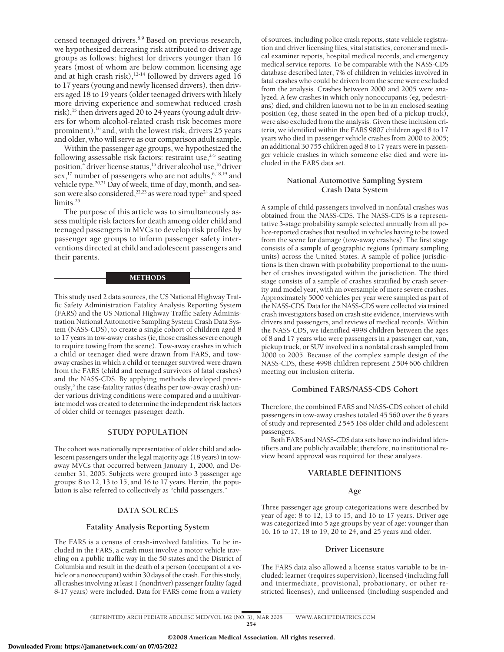censed teenaged drivers.<sup>8,9</sup> Based on previous research, we hypothesized decreasing risk attributed to driver age groups as follows: highest for drivers younger than 16 years (most of whom are below common licensing age and at high crash risk), $12-14$  followed by drivers aged 16 to 17 years (young and newly licensed drivers), then drivers aged 18 to 19 years (older teenaged drivers with likely more driving experience and somewhat reduced crash risk),<sup>15</sup> then drivers aged 20 to 24 years (young adult drivers for whom alcohol-related crash risk becomes more prominent),<sup>16</sup> and, with the lowest risk, drivers 25 years and older, who will serve as our comparison adult sample.

Within the passenger age groups, we hypothesized the following assessable risk factors: restraint use,<sup>2-5</sup> seating position, $\frac{4}{3}$  driver license status,<sup>15</sup> driver alcohol use,<sup>16</sup> driver sex,<sup>17</sup> number of passengers who are not adults,<sup>6,18,19</sup> and vehicle type.<sup>20,21</sup> Day of week, time of day, month, and season were also considered,<sup>22,23</sup> as were road type<sup>24</sup> and speed limits.<sup>25</sup>

The purpose of this article was to simultaneously assess multiple risk factors for death among older child and teenaged passengers in MVCs to develop risk profiles by passenger age groups to inform passenger safety interventions directed at child and adolescent passengers and their parents.

#### METHODS

This study used 2 data sources, the US National Highway Traffic Safety Administration Fatality Analysis Reporting System (FARS) and the US National Highway Traffic Safety Administration National Automotive Sampling System Crash Data System (NASS-CDS), to create a single cohort of children aged 8 to 17 years in tow-away crashes (ie, those crashes severe enough to require towing from the scene). Tow-away crashes in which a child or teenager died were drawn from FARS, and towaway crashes in which a child or teenager survived were drawn from the FARS (child and teenaged survivors of fatal crashes) and the NASS-CDS. By applying methods developed previously,<sup>5</sup> the case-fatality ratios (deaths per tow-away crash) under various driving conditions were compared and a multivariate model was created to determine the independent risk factors of older child or teenager passenger death.

#### **STUDY POPULATION**

The cohort was nationally representative of older child and adolescent passengers under the legal majority age (18 years) in towaway MVCs that occurred between January 1, 2000, and December 31, 2005. Subjects were grouped into 3 passenger age groups: 8 to 12, 13 to 15, and 16 to 17 years. Herein, the population is also referred to collectively as "child passengers."

#### **DATA SOURCES**

#### **Fatality Analysis Reporting System**

The FARS is a census of crash-involved fatalities. To be included in the FARS, a crash must involve a motor vehicle traveling on a public traffic way in the 50 states and the District of Columbia and result in the death of a person (occupant of a vehicle or a nonoccupant) within 30 days of the crash. For this study, all crashes involving at least 1 (nondriver) passenger fatality (aged 8-17 years) were included. Data for FARS come from a variety of sources, including police crash reports, state vehicle registration and driver licensing files, vital statistics, coroner and medical examiner reports, hospital medical records, and emergency medical service reports. To be comparable with the NASS-CDS database described later, 7% of children in vehicles involved in fatal crashes who could be driven from the scene were excluded from the analysis. Crashes between 2000 and 2005 were analyzed. A few crashes in which only nonoccupants (eg, pedestrians) died, and children known not to be in an enclosed seating position (eg, those seated in the open bed of a pickup truck), were also excluded from the analysis. Given these inclusion criteria, we identified within the FARS 9807 children aged 8 to 17 years who died in passenger vehicle crashes from 2000 to 2005; an additional 30 755 children aged 8 to 17 years were in passenger vehicle crashes in which someone else died and were included in the FARS data set.

# **National Automotive Sampling System Crash Data System**

A sample of child passengers involved in nonfatal crashes was obtained from the NASS-CDS. The NASS-CDS is a representative 3-stage probability sample selected annually from all police-reported crashes that resulted in vehicles having to be towed from the scene for damage (tow-away crashes). The first stage consists of a sample of geographic regions (primary sampling units) across the United States. A sample of police jurisdictions is then drawn with probability proportional to the number of crashes investigated within the jurisdiction. The third stage consists of a sample of crashes stratified by crash severity and model year, with an oversample of more severe crashes. Approximately 5000 vehicles per year were sampled as part of the NASS-CDS. Data for the NASS-CDS were collected via trained crash investigators based on crash site evidence, interviews with drivers and passengers, and reviews of medical records. Within the NASS-CDS, we identified 4998 children between the ages of 8 and 17 years who were passengers in a passenger car, van, pickup truck, or SUV involved in a nonfatal crash sampled from 2000 to 2005. Because of the complex sample design of the NASS-CDS, these 4998 children represent 2 504 606 children meeting our inclusion criteria.

## **Combined FARS/NASS-CDS Cohort**

Therefore, the combined FARS and NASS-CDS cohort of child passengers in tow-away crashes totaled 45 560 over the 6 years of study and represented 2 545 168 older child and adolescent passengers.

Both FARS and NASS-CDS data sets have no individual identifiers and are publicly available; therefore, no institutional review board approval was required for these analyses.

#### **VARIABLE DEFINITIONS**

#### **Age**

Three passenger age group categorizations were described by year of age: 8 to 12, 13 to 15, and 16 to 17 years. Driver age was categorized into 5 age groups by year of age: younger than 16, 16 to 17, 18 to 19, 20 to 24, and 25 years and older.

## **Driver Licensure**

The FARS data also allowed a license status variable to be included: learner (requires supervision), licensed (including full and intermediate, provisional, probationary, or other restricted licenses), and unlicensed (including suspended and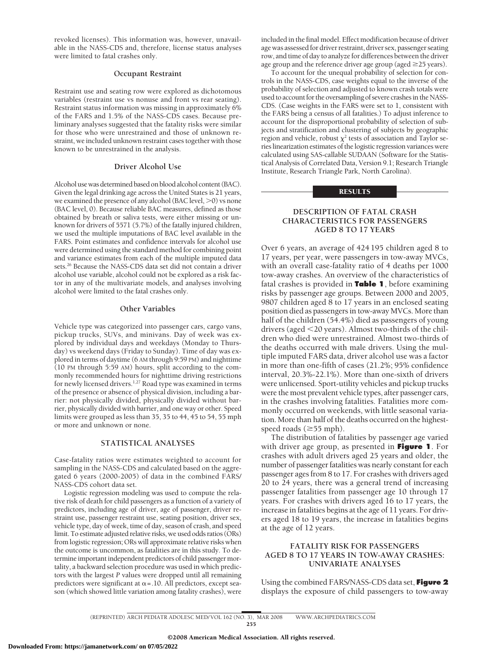revoked licenses). This information was, however, unavailable in the NASS-CDS and, therefore, license status analyses were limited to fatal crashes only.

#### **Occupant Restraint**

Restraint use and seating row were explored as dichotomous variables (restraint use vs nonuse and front vs rear seating). Restraint status information was missing in approximately 6% of the FARS and 1.5% of the NASS-CDS cases. Because preliminary analyses suggested that the fatality risks were similar for those who were unrestrained and those of unknown restraint, we included unknown restraint cases together with those known to be unrestrained in the analysis.

## **Driver Alcohol Use**

Alcohol use was determined based on blood alcohol content (BAC). Given the legal drinking age across the United States is 21 years, we examined the presence of any alcohol (BAC level,  $>$ 0) vs none (BAC level, 0). Because reliable BAC measures, defined as those obtained by breath or saliva tests, were either missing or unknown for drivers of 5571 (5.7%) of the fatally injured children, we used the multiple imputations of BAC level available in the FARS. Point estimates and confidence intervals for alcohol use were determined using the standard method for combining point and variance estimates from each of the multiple imputed data sets.<sup>26</sup> Because the NASS-CDS data set did not contain a driver alcohol use variable, alcohol could not be explored as a risk factor in any of the multivariate models, and analyses involving alcohol were limited to the fatal crashes only.

#### **Other Variables**

Vehicle type was categorized into passenger cars, cargo vans, pickup trucks, SUVs, and minivans. Day of week was explored by individual days and weekdays (Monday to Thursday) vs weekend days (Friday to Sunday). Time of day was explored in terms of daytime (6 AM through 9:59 PM) and nighttime (10 PM through 5:59 AM) hours, split according to the commonly recommended hours for nighttime driving restrictions for newly licensed drivers.<sup>1,27</sup> Road type was examined in terms of the presence or absence of physical division, including a barrier: not physically divided, physically divided without barrier, physically divided with barrier, and one way or other. Speed limits were grouped as less than 35, 35 to 44, 45 to 54, 55 mph or more and unknown or none.

## **STATISTICAL ANALYSES**

Case-fatality ratios were estimates weighted to account for sampling in the NASS-CDS and calculated based on the aggregated 6 years (2000-2005) of data in the combined FARS/ NASS-CDS cohort data set.

Logistic regression modeling was used to compute the relative risk of death for child passengers as a function of a variety of predictors, including age of driver, age of passenger, driver restraint use, passenger restraint use, seating position, driver sex, vehicle type, day of week, time of day, season of crash, and speed limit. To estimate adjusted relative risks, we used odds ratios (ORs) from logistic regression; ORs will approximate relative risks when the outcome is uncommon, as fatalities are in this study. To determine important independent predictors of child passenger mortality, a backward selection procedure was used in which predictors with the largest *P* values were dropped until all remaining predictors were significant at  $\alpha$  = .10. All predictors, except season (which showed little variation among fatality crashes), were included in the final model. Effect modification because of driver age was assessed for driver restraint, driver sex, passenger seating row, and time of day to analyze for differences between the driver age group and the reference driver age group (aged  $\geq$  25 years).

To account for the unequal probability of selection for controls in the NASS-CDS, case weights equal to the inverse of the probability of selection and adjusted to known crash totals were used to account for the oversampling of severe crashes in the NASS-CDS. (Case weights in the FARS were set to 1, consistent with the FARS being a census of all fatalities.) To adjust inference to account for the disproportional probability of selection of subjects and stratification and clustering of subjects by geographic region and vehicle, robust  $\chi^2$  tests of association and Taylor series linearization estimates of the logistic regression variances were calculated using SAS-callable SUDAAN (Software for the Statistical Analysis of Correlated Data, Version 9.1; Research Triangle Institute, Research Triangle Park, North Carolina).

## **RESULTS**

# **DESCRIPTION OF FATAL CRASH CHARACTERISTICS FOR PASSENGERS AGED 8 TO 17 YEARS**

Over 6 years, an average of 424 195 children aged 8 to 17 years, per year, were passengers in tow-away MVCs, with an overall case-fatality ratio of 4 deaths per 1000 tow-away crashes. An overview of the characteristics of fatal crashes is provided in **Table 1**, before examining risks by passenger age groups. Between 2000 and 2005, 9807 children aged 8 to 17 years in an enclosed seating position died as passengers in tow-away MVCs. More than half of the children (54.4%) died as passengers of young drivers (aged -20 years). Almost two-thirds of the children who died were unrestrained. Almost two-thirds of the deaths occurred with male drivers. Using the multiple imputed FARS data, driver alcohol use was a factor in more than one-fifth of cases (21.2%; 95% confidence interval, 20.3%-22.1%). More than one-sixth of drivers were unlicensed. Sport-utility vehicles and pickup trucks were the most prevalent vehicle types, after passenger cars, in the crashes involving fatalities. Fatalities more commonly occurred on weekends, with little seasonal variation. More than half of the deaths occurred on the highestspeed roads ( $\geq$ 55 mph).

The distribution of fatalities by passenger age varied with driver age group, as presented in **Figure 1**. For crashes with adult drivers aged 25 years and older, the number of passenger fatalities was nearly constant for each passenger ages from 8 to 17. For crashes with drivers aged 20 to 24 years, there was a general trend of increasing passenger fatalities from passenger age 10 through 17 years. For crashes with drivers aged 16 to 17 years, the increase in fatalities begins at the age of 11 years. For drivers aged 18 to 19 years, the increase in fatalities begins at the age of 12 years.

# **FATALITY RISK FOR PASSENGERS AGED 8 TO 17 YEARS IN TOW-AWAY CRASHES: UNIVARIATE ANALYSES**

Using the combined FARS/NASS-CDS data set, **Figure 2** displays the exposure of child passengers to tow-away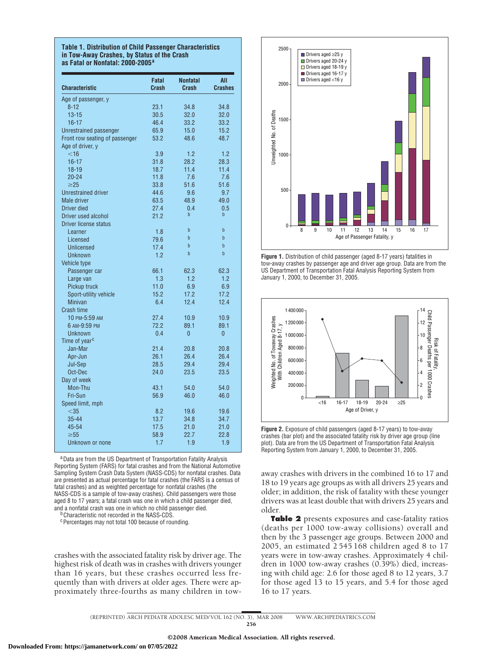#### **Table 1. Distribution of Child Passenger Characteristics in Tow-Away Crashes, by Status of the Crash as Fatal or Nonfatal: 2000-2005<sup>a</sup>**

| <b>Characteristic</b>          | Fatal<br>Crash | <b>Nonfatal</b><br>Crash | All<br><b>Crashes</b> |
|--------------------------------|----------------|--------------------------|-----------------------|
| Age of passenger, y            |                |                          |                       |
| $8 - 12$                       | 23.1           | 34.8                     | 34.8                  |
| $13 - 15$                      | 30.5           | 32.0                     | 32.0                  |
| $16 - 17$                      | 46.4           | 33.2                     | 33.2                  |
| Unrestrained passenger         | 65.9           | 15.0                     | 15.2                  |
| Front row seating of passenger | 53.2           | 48.6                     | 48.7                  |
| Age of driver, y               |                |                          |                       |
| $<$ 16                         | 3.9            | 1.2                      | 1.2                   |
| $16 - 17$                      | 31.8           | 28.2                     | 28.3                  |
| $18 - 19$                      | 18.7           | 11.4                     | 11.4                  |
| $20 - 24$                      | 11.8           | 7.6                      | 7.6                   |
| $\geq$ 25                      | 33.8           | 51.6                     | 51.6                  |
| <b>Unrestrained driver</b>     | 44.6           | 9.6                      | 9.7                   |
| Male driver                    | 63.5           | 48.9                     | 49.0                  |
| Driver died                    | 27.4           | 0.4                      | 0.5                   |
| Driver used alcohol            | 21.2           | b                        | b                     |
| Driver license status          |                |                          |                       |
| Learner                        | 1.8            | b                        | b                     |
| Licensed                       | 79.6           | $\mathbf b$              | h                     |
| Unlicensed                     | 17.4           | $\mathbf b$              | $\mathsf{h}$          |
| <b>Unknown</b>                 | 1.2            | $\mathbf b$              | b                     |
| <b>Vehicle type</b>            |                |                          |                       |
| Passenger car                  | 66.1           | 62.3                     | 62.3                  |
| Large van                      | 1.3            | 1.2                      | 1.2                   |
| Pickup truck                   | 11.0           | 6.9                      | 6.9                   |
| Sport-utility vehicle          | 15.2           | 17.2                     | 17.2                  |
| Minivan                        | 6.4            | 12.4                     | 12.4                  |
| <b>Crash time</b>              |                |                          |                       |
| 10 PM-5:59 AM                  | 27.4           | 10.9                     | 10.9                  |
| 6 AM-9:59 PM                   | 72.2           | 89.1                     | 89.1                  |
| Unknown                        | 0.4            | $\overline{0}$           | 0                     |
| Time of year <sup>c</sup>      |                |                          |                       |
| Jan-Mar                        | 21.4           | 20.8                     | 20.8                  |
| Apr-Jun                        | 26.1           | 26.4                     | 26.4                  |
| Jul-Sep                        | 28.5           | 29.4                     | 29.4                  |
| Oct-Dec                        | 24.0           | 23.5                     | 23.5                  |
| Day of week                    |                |                          |                       |
| Mon-Thu                        | 43.1           | 54.0                     | 54.0                  |
| Fri-Sun                        | 56.9           | 46.0                     | 46.0                  |
| Speed limit, mph               |                |                          |                       |
| $<$ 35                         | 8.2            | 19.6                     | 19.6                  |
| $35 - 44$                      | 13.7           | 34.8                     | 34.7                  |
| 45-54                          | 17.5           | 21.0                     | 21.0                  |
| $\geq 55$                      | 58.9           | 22.7                     | 22.8                  |
| Unknown or none                | 1.7            | 1.9                      | 1.9                   |

aData are from the US Department of Transportation Fatality Analysis Reporting System (FARS) for fatal crashes and from the National Automotive Sampling System Crash Data System (NASS-CDS) for nonfatal crashes. Data are presented as actual percentage for fatal crashes (the FARS is a census of fatal crashes) and as weighted percentage for nonfatal crashes (the NASS-CDS is a sample of tow-away crashes). Child passengers were those aged 8 to 17 years; a fatal crash was one in which a child passenger died, and a nonfatal crash was one in which no child passenger died.

<sup>b</sup> Characteristic not recorded in the NASS-CDS

cPercentages may not total 100 because of rounding.

crashes with the associated fatality risk by driver age. The highest risk of death was in crashes with drivers younger than 16 years, but these crashes occurred less frequently than with drivers at older ages. There were approximately three-fourths as many children in tow-



**Figure 1.** Distribution of child passenger (aged 8-17 years) fatalities in tow-away crashes by passenger age and driver age group. Data are from the US Department of Transportation Fatal Analysis Reporting System from January 1, 2000, to December 31, 2005.



**Figure 2.** Exposure of child passengers (aged 8-17 years) to tow-away crashes (bar plot) and the associated fatality risk by driver age group (line plot). Data are from the US Department of Transportation Fatal Analysis Reporting System from January 1, 2000, to December 31, 2005.

away crashes with drivers in the combined 16 to 17 and 18 to 19 years age groups as with all drivers 25 years and older; in addition, the risk of fatality with these younger drivers was at least double that with drivers 25 years and older.

**Table 2** presents exposures and case-fatality ratios (deaths per 1000 tow-away collisions) overall and then by the 3 passenger age groups. Between 2000 and 2005, an estimated 2 545 168 children aged 8 to 17 years were in tow-away crashes. Approximately 4 children in 1000 tow-away crashes (0.39%) died, increasing with child age: 2.6 for those aged 8 to 12 years, 3.7 for those aged 13 to 15 years, and 5.4 for those aged 16 to 17 years.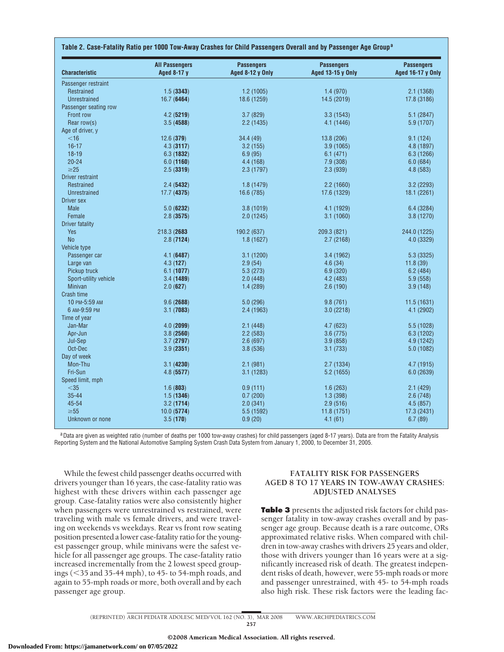| <b>Characteristic</b>  | <b>All Passengers</b><br>Aged 8-17 y | <b>Passengers</b><br>Aged 8-12 y Only | <b>Passengers</b><br><b>Aged 13-15 y Only</b> | <b>Passengers</b><br><b>Aged 16-17 y Only</b> |
|------------------------|--------------------------------------|---------------------------------------|-----------------------------------------------|-----------------------------------------------|
| Passenger restraint    |                                      |                                       |                                               |                                               |
| Restrained             | 1.5(3343)                            | 1.2(1005)                             | 1.4(970)                                      | 2.1(1368)                                     |
| <b>Unrestrained</b>    | 16.7(6464)                           | 18.6 (1259)                           | 14.5 (2019)                                   | 17.8 (3186)                                   |
| Passenger seating row  |                                      |                                       |                                               |                                               |
| Front row              | 4.2(5219)                            | 3.7(829)                              | 3.3(1543)                                     | 5.1(2847)                                     |
| Rear row(s)            | 3.5(4588)                            | 2.2 (1435)                            | 4.1 (1446)                                    | 5.9 (1707)                                    |
| Age of driver, y       |                                      |                                       |                                               |                                               |
| $<$ 16                 | 12.6(379)                            | 34.4 (49)                             | 13.8 (206)                                    | 9.1(124)                                      |
| $16 - 17$              | 4.3(3117)                            | 3.2(155)                              | 3.9(1065)                                     | 4.8 (1897)                                    |
| $18 - 19$              | 6.3(1832)                            | 6.9(95)                               | 6.1(471)                                      | 6.3(1266)                                     |
| $20 - 24$              | 6.0(1160)                            | 4.4 (168)                             | 7.9 (308)                                     | 6.0(684)                                      |
| $\geq$ 25              | 2.5(3319)                            | 2.3 (1797)                            | 2.3(939)                                      | 4.8(583)                                      |
| Driver restraint       |                                      |                                       |                                               |                                               |
| Restrained             | 2.4(5432)                            | 1.8(1479)                             | 2.2(1660)                                     | 3.2(2293)                                     |
| <b>Unrestrained</b>    | 17.7(4375)                           | 16.6 (785)                            | 17.6 (1329)                                   | 18.1 (2261)                                   |
| <b>Driver sex</b>      |                                      |                                       |                                               |                                               |
| <b>Male</b>            | 5.0(6232)                            | 3.8(1019)                             | 4.1 (1929)                                    | 6.4 (3284)                                    |
| Female                 | 2.8(3575)                            | 2.0(1245)                             | 3.1(1060)                                     | 3.8 (1270)                                    |
| <b>Driver fatality</b> |                                      |                                       |                                               |                                               |
| <b>Yes</b>             | 218.3 (2683)                         | 190.2 (637)                           | 209.3 (821)                                   | 244.0 (1225)                                  |
| No                     | 2.8(7124)                            | 1.8(1627)                             | 2.7(2168)                                     | 4.0 (3329)                                    |
| Vehicle type           |                                      |                                       |                                               |                                               |
| Passenger car          | 4.1(6487)                            | 3.1(1200)                             | 3.4 (1962)                                    | 5.3 (3325)                                    |
| Large van              | 4.3(127)                             | 2.9(54)                               | 4.6(34)                                       | 11.8(39)                                      |
| Pickup truck           | 6.1(1077)                            | 5.3(273)                              | 6.9(320)                                      | 6.2(484)                                      |
| Sport-utility vehicle  | 3.4(1489)                            | 2.0(448)                              | 4.2 (483)                                     | 5.9(558)                                      |
| <b>Minivan</b>         | 2.0(627)                             | 1.4(289)                              | 2.6(190)                                      | 3.9(148)                                      |
| Crash time             |                                      |                                       |                                               |                                               |
| 10 PM-5:59 AM          | 9.6(2688)                            | 5.0 (296)                             | 9.8(761)                                      | 11.5 (1631)                                   |
| 6 AM-9:59 PM           | 3.1(7083)                            | 2.4 (1963)                            | 3.0(2218)                                     | 4.1 (2902)                                    |
| Time of year           |                                      |                                       |                                               |                                               |
| Jan-Mar                | 4.0(2099)                            | 2.1(448)                              | 4.7 (623)                                     | 5.5 (1028)                                    |
| Apr-Jun                | 3.8(2560)                            | 2.2(583)                              | 3.6(775)                                      | 6.3(1202)                                     |
| Jul-Sep                | 3.7(2797)                            | 2.6(697)                              | 3.9(858)                                      | 4.9 (1242)                                    |
| Oct-Dec                | 3.9(2351)                            | 3.8(536)                              | 3.1(733)                                      | 5.0 (1082)                                    |
| Day of week            |                                      |                                       |                                               |                                               |
| Mon-Thu                | 3.1(4230)                            | 2.1(981)                              | 2.7(1334)                                     | 4.7 (1915)                                    |
| Fri-Sun                | 4.8(5577)                            | 3.1(1283)                             | 5.2(1655)                                     | 6.0(2639)                                     |
| Speed limit, mph       |                                      |                                       |                                               |                                               |
| $<$ 35                 | 1.6(803)                             | 0.9(111)                              | 1.6(263)                                      | 2.1(429)                                      |
| $35 - 44$              | 1.5(1346)                            | 0.7(200)                              | 1.3(398)                                      | 2.6(748)                                      |
| 45-54                  | 3.2(1714)                            | 2.0(341)                              | 2.9(516)                                      | 4.5(857)                                      |
| $\geq 55$              |                                      | 5.5 (1592)                            | 11.8 (1751)                                   | 17.3 (2431)                                   |
| Unknown or none        | 10.0(5774)<br>3.5(170)               | 0.9(20)                               | 4.1(61)                                       | 6.7(89)                                       |

aData are given as weighted ratio (number of deaths per 1000 tow-away crashes) for child passengers (aged 8-17 years). Data are from the Fatality Analysis Reporting System and the National Automotive Sampling System Crash Data System from January 1, 2000, to December 31, 2005.

While the fewest child passenger deaths occurred with drivers younger than 16 years, the case-fatality ratio was highest with these drivers within each passenger age group. Case-fatality ratios were also consistently higher when passengers were unrestrained vs restrained, were traveling with male vs female drivers, and were traveling on weekends vs weekdays. Rear vs front row seating position presented a lower case-fatality ratio for the youngest passenger group, while minivans were the safest vehicle for all passenger age groups. The case-fatality ratio increased incrementally from the 2 lowest speed groupings (-35 and 35-44 mph), to 45- to 54-mph roads, and again to 55-mph roads or more, both overall and by each passenger age group.

# **FATALITY RISK FOR PASSENGERS AGED 8 TO 17 YEARS IN TOW-AWAY CRASHES: ADJUSTED ANALYSES**

**Table 3** presents the adjusted risk factors for child passenger fatality in tow-away crashes overall and by passenger age group. Because death is a rare outcome, ORs approximated relative risks. When compared with children in tow-away crashes with drivers 25 years and older, those with drivers younger than 16 years were at a significantly increased risk of death. The greatest independent risks of death, however, were 55-mph roads or more and passenger unrestrained, with 45- to 54-mph roads also high risk. These risk factors were the leading fac-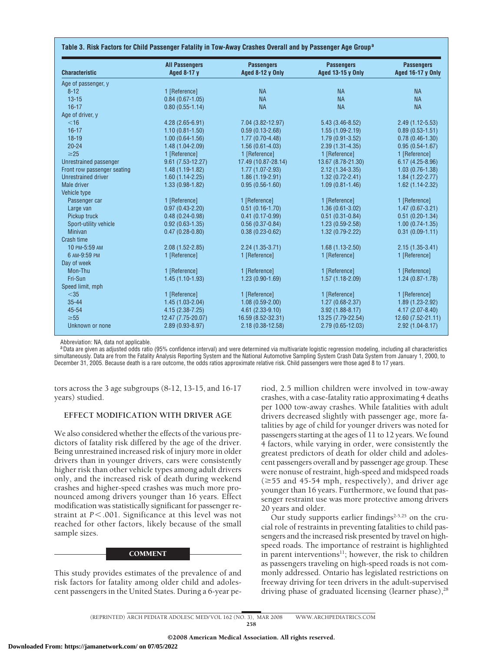| <b>Characteristic</b>       | <b>All Passengers</b><br>Aged 8-17 y | <b>Passengers</b><br>Aged 8-12 y Only | <b>Passengers</b><br><b>Aged 13-15 y Only</b> | <b>Passengers</b><br><b>Aged 16-17 y Only</b> |
|-----------------------------|--------------------------------------|---------------------------------------|-----------------------------------------------|-----------------------------------------------|
| Age of passenger, y         |                                      |                                       |                                               |                                               |
| $8 - 12$                    | 1 [Reference]                        | <b>NA</b>                             | <b>NA</b>                                     | <b>NA</b>                                     |
| $13 - 15$                   | $0.84(0.67 - 1.05)$                  | <b>NA</b>                             | <b>NA</b>                                     | <b>NA</b>                                     |
| $16 - 17$                   | $0.80(0.55 - 1.14)$                  | <b>NA</b>                             | <b>NA</b>                                     | <b>NA</b>                                     |
| Age of driver, y            |                                      |                                       |                                               |                                               |
| $<$ 16                      | 4.28 (2.65-6.91)                     | 7.04 (3.82-12.97)                     | $5.43(3.46 - 8.52)$                           | $2.49(1.12-5.53)$                             |
| $16 - 17$                   | $1.10(0.81 - 1.50)$                  | $0.59(0.13 - 2.68)$                   | $1.55(1.09-2.19)$                             | $0.89(0.53 - 1.51)$                           |
| $18 - 19$                   | $1.00(0.64-1.56)$                    | $1.77(0.70-4.48)$                     | $1.79(0.91 - 3.52)$                           | $0.78(0.46-1.30)$                             |
| $20 - 24$                   | $1.48(1.04 - 2.09)$                  | $1.56(0.61 - 4.03)$                   | $2.39(1.31 - 4.35)$                           | $0.95(0.54-1.67)$                             |
| $\geq$ 25                   | 1 [Reference]                        | 1 [Reference]                         | 1 [Reference]                                 | 1 [Reference]                                 |
| Unrestrained passenger      | $9.61(7.53 - 12.27)$                 | 17.49 (10.87-28.14)                   | 13.67 (8.78-21.30)                            | $6.17(4.25-8.96)$                             |
| Front row passenger seating | $1.48(1.19-1.82)$                    | $1.77(1.07 - 2.93)$                   | $2.12(1.34-3.35)$                             | $1.03(0.76-1.38)$                             |
| <b>Unrestrained driver</b>  | $1.60(1.14-2.25)$                    | $1.86(1.19-2.91)$                     | $1.32(0.72 - 2.41)$                           | $1.84(1.22 - 2.77)$                           |
| Male driver                 | $1.33(0.98-1.82)$                    | $0.95(0.56-1.60)$                     | $1.09(0.81 - 1.46)$                           | $1.62(1.14-2.32)$                             |
| Vehicle type                |                                      |                                       |                                               |                                               |
| Passenger car               | 1 [Reference]                        | 1 [Reference]                         | 1 [Reference]                                 | 1 [Reference]                                 |
| Large van                   | $0.97(0.43 - 2.20)$                  | $0.51(0.16-1.70)$                     | $1.36(0.61 - 3.02)$                           | $1.47(0.67 - 3.21)$                           |
| Pickup truck                | $0.48(0.24-0.98)$                    | $0.41(0.17-0.99)$                     | $0.51(0.31 - 0.84)$                           | $0.51(0.20-1.34)$                             |
| Sport-utility vehicle       | $0.92(0.63 - 1.35)$                  | $0.56(0.37-0.84)$                     | $1.23(0.59-2.58)$                             | $1.00(0.74-1.35)$                             |
| <b>Minivan</b>              | $0.47(0.28-0.80)$                    | $0.38(0.23 - 0.62)$                   | $1.32(0.79-2.22)$                             | $0.31(0.09-1.11)$                             |
| Crash time                  |                                      |                                       |                                               |                                               |
| 10 PM-5:59 AM               | $2.08(1.52 - 2.85)$                  | $2.24(1.35-3.71)$                     | $1.68(1.13 - 2.50)$                           | $2.15(1.35-3.41)$                             |
| 6 AM-9:59 PM                | 1 [Reference]                        | 1 [Reference]                         | 1 [Reference]                                 | 1 [Reference]                                 |
| Day of week                 |                                      |                                       |                                               |                                               |
| Mon-Thu                     | 1 [Reference]                        | 1 [Reference]                         | 1 [Reference]                                 | 1 [Reference]                                 |
| Fri-Sun                     | $1.45(1.10-1.93)$                    | $1.23(0.90-1.69)$                     | $1.57(1.18-2.09)$                             | $1.24(0.87 - 1.78)$                           |
| Speed limit, mph            |                                      |                                       |                                               |                                               |
| $<$ 35                      | 1 [Reference]                        | 1 [Reference]                         | 1 [Reference]                                 | 1 [Reference]                                 |
| $35 - 44$                   | $1.45(1.03-2.04)$                    | $1.08(0.59-2.00)$                     | $1.27(0.68 - 2.37)$                           | 1.89 (1.23-2.92)                              |
| 45-54                       | $4.15(2.38 - 7.25)$                  | $4.61(2.33-9.10)$                     | $3.92(1.88 - 8.17)$                           | $4.17(2.07 - 8.40)$                           |
| $\geq 55$                   | 12.47 (7.75-20.07)                   | 16.59 (8.52-32.31)                    | 13.25 (7.79-22.54)                            | 12.60 (7.52-21.11)                            |
| Unknown or none             | $2.89(0.93 - 8.97)$                  | $2.18(0.38 - 12.58)$                  | $2.79(0.65 - 12.03)$                          | $2.92(1.04 - 8.17)$                           |

Abbreviation: NA, data not applicable.

aData are given as adjusted odds ratio (95% confidence interval) and were determined via multivariate logistic regression modeling, including all characteristics simultaneously. Data are from the Fatality Analysis Reporting System and the National Automotive Sampling System Crash Data System from January 1, 2000, to December 31, 2005. Because death is a rare outcome, the odds ratios approximate relative risk. Child passengers were those aged 8 to 17 years.

tors across the 3 age subgroups (8-12, 13-15, and 16-17 years) studied.

# **EFFECT MODIFICATION WITH DRIVER AGE**

We also considered whether the effects of the various predictors of fatality risk differed by the age of the driver. Being unrestrained increased risk of injury more in older drivers than in younger drivers, cars were consistently higher risk than other vehicle types among adult drivers only, and the increased risk of death during weekend crashes and higher-speed crashes was much more pronounced among drivers younger than 16 years. Effect modification was statistically significant for passenger restraint at P<.001. Significance at this level was not reached for other factors, likely because of the small sample sizes.

## **COMMENT**

This study provides estimates of the prevalence of and risk factors for fatality among older child and adolescent passengers in the United States. During a 6-year pe-

riod, 2.5 million children were involved in tow-away crashes, with a case-fatality ratio approximating 4 deaths per 1000 tow-away crashes. While fatalities with adult drivers decreased slightly with passenger age, more fatalities by age of child for younger drivers was noted for passengers starting at the ages of 11 to 12 years. We found 4 factors, while varying in order, were consistently the greatest predictors of death for older child and adolescent passengers overall and by passenger age group. These were nonuse of restraint, high-speed and midspeed roads  $(\geq 55$  and 45-54 mph, respectively), and driver age younger than 16 years. Furthermore, we found that passenger restraint use was more protective among drivers 20 years and older.

Our study supports earlier findings $2-5,25$  on the crucial role of restraints in preventing fatalities to child passengers and the increased risk presented by travel on highspeed roads. The importance of restraint is highlighted in parent interventions $11$ ; however, the risk to children as passengers traveling on high-speed roads is not commonly addressed. Ontario has legislated restrictions on freeway driving for teen drivers in the adult-supervised driving phase of graduated licensing (learner phase), $^{28}$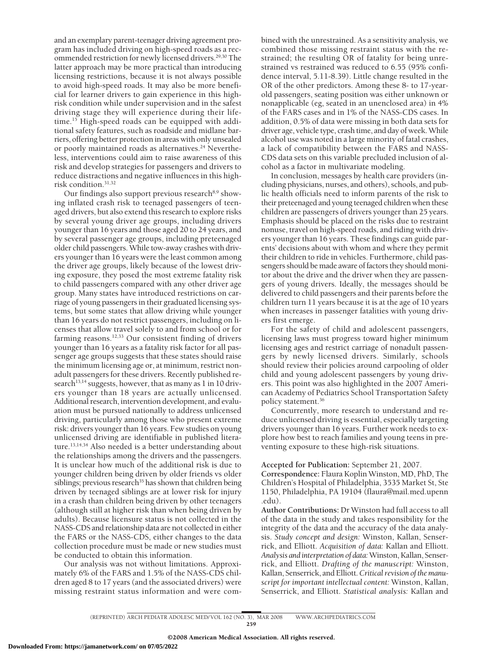and an exemplary parent-teenager driving agreement program has included driving on high-speed roads as a recommended restriction for newly licensed drivers.<sup>29,30</sup> The latter approach may be more practical than introducing licensing restrictions, because it is not always possible to avoid high-speed roads. It may also be more beneficial for learner drivers to gain experience in this highrisk condition while under supervision and in the safest driving stage they will experience during their lifetime.15 High-speed roads can be equipped with additional safety features, such as roadside and midlane barriers, offering better protection in areas with only unsealed or poorly maintained roads as alternatives.<sup>24</sup> Nevertheless, interventions could aim to raise awareness of this risk and develop strategies for passengers and drivers to reduce distractions and negative influences in this highrisk condition.31,32

Our findings also support previous research<sup>8,9</sup> showing inflated crash risk to teenaged passengers of teenaged drivers, but also extend this research to explore risks by several young driver age groups, including drivers younger than 16 years and those aged 20 to 24 years, and by several passenger age groups, including preteenaged older child passengers. While tow-away crashes with drivers younger than 16 years were the least common among the driver age groups, likely because of the lowest driving exposure, they posed the most extreme fatality risk to child passengers compared with any other driver age group. Many states have introduced restrictions on carriage of young passengers in their graduated licensing systems, but some states that allow driving while younger than 16 years do not restrict passengers, including on licenses that allow travel solely to and from school or for farming reasons.12,33 Our consistent finding of drivers younger than 16 years as a fatality risk factor for all passenger age groups suggests that these states should raise the minimum licensing age or, at minimum, restrict nonadult passengers for these drivers. Recently published research<sup>13,14</sup> suggests, however, that as many as  $1$  in  $10$  drivers younger than 18 years are actually unlicensed. Additional research, intervention development, and evaluation must be pursued nationally to address unlicensed driving, particularly among those who present extreme risk: drivers younger than 16 years. Few studies on young unlicensed driving are identifiable in published literature.<sup>13,14,34</sup> Also needed is a better understanding about the relationships among the drivers and the passengers. It is unclear how much of the additional risk is due to younger children being driven by older friends vs older siblings; previous research $35$  has shown that children being driven by teenaged siblings are at lower risk for injury in a crash than children being driven by other teenagers (although still at higher risk than when being driven by adults). Because licensure status is not collected in the NASS-CDS and relationship data are not collected in either the FARS or the NASS-CDS, either changes to the data collection procedure must be made or new studies must be conducted to obtain this information.

Our analysis was not without limitations. Approximately 6% of the FARS and 1.5% of the NASS-CDS children aged 8 to 17 years (and the associated drivers) were missing restraint status information and were combined with the unrestrained. As a sensitivity analysis, we combined those missing restraint status with the restrained; the resulting OR of fatality for being unrestrained vs restrained was reduced to 6.55 (95% confidence interval, 5.11-8.39). Little change resulted in the OR of the other predictors. Among these 8- to 17-yearold passengers, seating position was either unknown or nonapplicable (eg, seated in an unenclosed area) in 4% of the FARS cases and in 1% of the NASS-CDS cases. In addition, 0.5% of data were missing in both data sets for driver age, vehicle type, crash time, and day of week.While alcohol use was noted in a large minority of fatal crashes, a lack of compatibility between the FARS and NASS-CDS data sets on this variable precluded inclusion of alcohol as a factor in multivariate modeling.

In conclusion, messages by health care providers (including physicians, nurses, and others), schools, and public health officials need to inform parents of the risk to their preteenaged and young teenaged children when these children are passengers of drivers younger than 25 years. Emphasis should be placed on the risks due to restraint nonuse, travel on high-speed roads, and riding with drivers younger than 16 years. These findings can guide parents' decisions about with whom and where they permit their children to ride in vehicles. Furthermore, child passengers should be made aware of factors they should monitor about the drive and the driver when they are passengers of young drivers. Ideally, the messages should be delivered to child passengers and their parents before the children turn 11 years because it is at the age of 10 years when increases in passenger fatalities with young drivers first emerge.

For the safety of child and adolescent passengers, licensing laws must progress toward higher minimum licensing ages and restrict carriage of nonadult passengers by newly licensed drivers. Similarly, schools should review their policies around carpooling of older child and young adolescent passengers by young drivers. This point was also highlighted in the 2007 American Academy of Pediatrics School Transportation Safety policy statement.36

Concurrently, more research to understand and reduce unlicensed driving is essential, especially targeting drivers younger than 16 years. Further work needs to explore how best to reach families and young teens in preventing exposure to these high-risk situations.

**Accepted for Publication:** September 21, 2007.

**Correspondence:** Flaura Koplin Winston, MD, PhD, The Children's Hospital of Philadelphia, 3535 Market St, Ste 1150, Philadelphia, PA 19104 (flaura@mail.med.upenn .edu).

**Author Contributions:** Dr Winston had full access to all of the data in the study and takes responsibility for the integrity of the data and the accuracy of the data analysis. *Study concept and design:* Winston, Kallan, Senserrick, and Elliott. *Acquisition of data:* Kallan and Elliott. *Analysis and interpretation of data:*Winston, Kallan, Senserrick, and Elliott. *Drafting of the manuscript:* Winston, Kallan, Senserrick, and Elliott.*Critical revision of the manuscript for important intellectual content:* Winston, Kallan, Senserrick, and Elliott. *Statistical analysis:* Kallan and